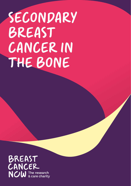# SECONDARY BREAST CANCER IN THE BONE

BREAST CANCER **NOW** The research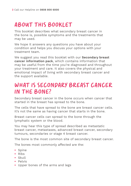# ABOUT THIS BOOKLET

This booklet describes what secondary breast cancer in the bone is, possible symptoms and the treatments that may be used.

We hope it answers any questions you have about your condition and helps you discuss your options with your treatment team.

We suggest you read this booklet with our **Secondary breast cancer information pack**, which contains information that may be useful from the time you're diagnosed and throughout your treatment and care. It also covers the physical and emotional impact of living with secondary breast cancer and the support available.

# WHAT IS SECONDARY BREAST CANCER IN THE BONE?

Secondary breast cancer in the bone occurs when cancer that started in the breast has spread to the bone.

The cells that have spread to the bone are breast cancer cells. It's not the same as having cancer that starts in the bone.

Breast cancer cells can spread to the bone through the lymphatic system or the blood.

You may hear this type of spread described as metastatic breast cancer, metastases, advanced breast cancer, secondary tumours, secondaries or stage 4 breast cancer.

The bone is the most common site of secondary breast cancer.

The bones most commonly affected are the:

- **•** Spine
- **•** Ribs
- **•** Skull
- **•** Pelvis
- **•** Upper bones of the arms and legs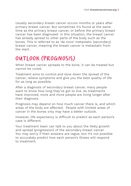Usually secondary breast cancer occurs months or years after primary breast cancer. But sometimes it's found at the same time as the primary breast cancer, or before the primary breast cancer has been diagnosed. In this situation, the breast cancer has already spread to other parts of the body such as the bones. This is referred to as 'de novo' metastatic (secondary) breast cancer, meaning the breast cancer is metastatic from the start.

# OUTLOOK (PROGNOSIS)

When breast cancer spreads to the bone, it can be treated but cannot be cured.

Treatment aims to control and slow down the spread of the cancer, relieve symptoms and give you the best quality of life for as long as possible.

After a diagnosis of secondary breast cancer, many people want to know how long they've got to live. As treatments have improved, more and more people are living longer after their diagnosis.

Prognosis may depend on how much cancer there is, and which areas of the body are affected. People with limited areas of cancer in the bones only may have a better outlook.

However, life expectancy is difficult to predict as each person's case is different.

Your treatment team can talk to you about the likely growth and spread (progression) of the secondary breast cancer. You may worry if their answers are vague, but it's not possible to accurately predict how each person's illness will respond to treatment.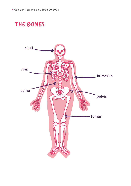# THE BONES

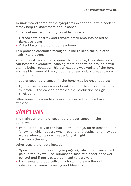To understand some of the symptoms described in this booklet it may help to know more about bones.

Bone contains two main types of living cells:

- **•** Osteoclasts destroy and remove small amounts of old or damaged bone
- **•** Osteoblasts help build up new bone

This process continues throughout life to keep the skeleton healthy and strong.

When breast cancer cells spread to the bone, the osteoclasts can become overactive, causing more bone to be broken down than is being replaced. This can cause a weakening of the bone and lead to some of the symptoms of secondary breast cancer in the bone.

Areas of secondary cancer in the bone may be described as:

- **•** Lytic the cancer causes breakdown or thinning of the bone
- **•** Sclerotic the cancer increases the production of rigid, thick bone

Often areas of secondary breast cancer in the bone have both of these.

# SYMPTOMS

The main symptoms of secondary breast cancer in the bone are:

- **•** Pain, particularly in the back, arms or legs, often described as 'gnawing' which occurs when resting or sleeping, and may get worse when lying down especially at night
- **•** Fractures (breaks)

Other possible effects include:

- **•** Spinal cord compression (see page 24) which can cause back pain, difficulty walking, numbness, loss of bladder or bowel control and if not treated can lead to paralysis
- **•** Low levels of blood cells, which can increase the risk of infection, anaemia, bruising and bleeding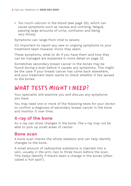**•** Too much calcium in the blood (see page 25), which can cause symptoms such as nausea and vomiting, fatigue, passing large amounts of urine, confusion and being very thirsty

Symptoms can range from mild to severe.

It's important to report any new or ongoing symptoms to your treatment team however minor they seem.

These symptoms, what to do if you have them and how they can be managed are explained in more detail on page 22.

Sometimes secondary breast cancer in the bones may be found during a scan before it causes any symptoms. This might be the case if your breast cancer has come back elsewhere, and your treatment team wants to check whether it has spread to the bones.

# WHAT TESTS MIGHT I NEED?

Your specialist will examine you and discuss any symptoms you have.

You may need one or more of the following tests for your doctor to confirm a diagnosis of secondary breast cancer in the bone and monitor it over time.

### **X-ray of the bone**

An x-ray can show changes in the bone. The x-ray may not be able to pick up small areas of cancer.

#### **Bone scan**

A bone scan checks the whole skeleton and can help identify changes to the bone.

A small amount of radioactive substance is injected into a vein, usually in the arm, two to three hours before the scan. This helps identify if there's been a change in the bones (often called a 'hot spot').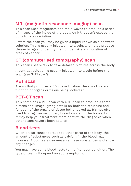# **MRI (magnetic resonance imaging) scan**

This scan uses magnetism and radio waves to produce a series of images of the inside of the body. An MRI doesn't expose the body to x-ray radiation.

Before the scan you may be given a liquid known as a contrast solution. This is usually injected into a vein, and helps produce clearer images to identify the number, size and location of areas of cancer.

# **CT (computerised tomography) scan**

This scan uses x-rays to take detailed pictures across the body.

A contrast solution is usually injected into a vein before the scan (see 'MRI scan').

### **PET scan**

A scan that produces a 3D image to show the structure and function of organs or tissue being looked at.

### **PET-CT scan**

This combines a PET scan with a CT scan to produce a threedimensional image, giving details on both the structure and function of the organs or tissue being looked at. It's not often used to diagnose secondary breast cancer in the bones, but it may help your treatment team confirm the diagnosis when other scans haven't been able to.

# **Blood tests**

When breast cancer spreads to other parts of the body, the amount of substances such as calcium in the blood may increase. Blood tests can measure these substances and show any changes.

You may have some blood tests to monitor your condition. The type of test will depend on your symptoms.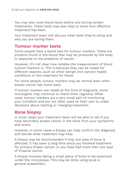You may also need blood tests before and during certain treatments. These tests may also help to show how effective treatment has been.

Your treatment team will discuss what tests they're doing and why you are having them.

### **Tumour marker tests**

Some people have a blood test for tumour markers. These are proteins found in the blood that may be produced by the body in response to the presence of cancer.

However, it's not clear how reliable the measurement of blood tumour markers is. This is because they can be raised for different reasons, such as other benign (not cancer) health conditions or the treatment for these.

For some people, tumour markers may be normal even when breast cancer has come back.

If tumour markers are raised at the time of diagnosis, some oncologists may continue to check them regularly. When used, tumour markers are a very small part of monitoring your condition and are not often used on their own to make decisions about starting or changing treatment.

# **Bone biopsy**

In most cases your treatment team will be able to tell if you have secondary breast cancer in the bone from your symptoms and scans.

However, in some cases a biopsy can help confirm the diagnosis and decide what treatment may help.

A biopsy may be recommended if only one area of bone is affected, it has been a long time since you finished treatment for primary breast cancer, or you have had more than one type of invasive cancer.

A biopsy involves taking a small piece of bone to be examined under the microscope. This may be done using local or general anaesthetic.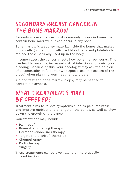# SECONDARY BREAST CANCER IN THE BONE MARROW

Secondary breast cancer most commonly occurs in bones that contain bone marrow, but can occur in any bone.

Bone marrow is a spongy material inside the bones that makes blood cells (white blood cells, red blood cells and platelets) to replace those naturally used up in the body.

In some cases, the cancer affects how bone marrow works. This can lead to anaemia, increased risk of infection and bruising or bleeding. Because of this, your oncologist may ask the opinion of a haematologist (a doctor who specialises in diseases of the blood) when planning your treatment and care.

A blood test and bone marrow biopsy may be needed to confirm a diagnosis.

# WHAT TREATMENTS MAY I BE OFFERED?

Treatment aims to relieve symptoms such as pain, maintain and improve mobility and strengthen the bones, as well as slow down the growth of the cancer.

Your treatment may include:

- **•** Pain relief
- **•** Bone-strengthening therapy
- **•** Hormone (endocrine) therapy
- **•** Targeted (biological) therapies
- **•** Chemotherapy
- **•** Radiotherapy
- **•** Surgery

These treatments can be given alone or more usually in combination.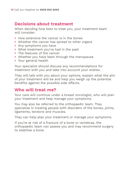### **Decisions about treatment**

When deciding how best to treat you, your treatment team will consider:

- **•** How extensive the cancer is in the bones
- Whether the cancer has spread to other organs
- **•** Any symptoms you have
- **•** What treatment you've had in the past
- **•** The features of the cancer
- **•** Whether you have been through the menopause
- **•** Your general health

Your specialist should discuss any recommendations for treatment with you and take into account your wishes.

They will talk with you about your options, explain what the aim of your treatment will be and help you weigh up the potential benefits against the possible side effects.

### **Who will treat me?**

Your care will continue under a breast oncologist, who will plan your treatment and help manage your symptoms.

You may also be referred to the orthopaedic team. They specialise in treating people with disorders of the bones, joints, ligaments, tendons and muscles.

They can help plan your treatment or manage your symptoms.

If you're at risk of a fracture of a bone or vertebrae, the orthopaedic team can assess you and may recommend surgery to stabilise a bone.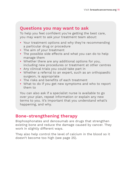### **Questions you may want to ask**

To help you feel confident you're getting the best care, you may want to ask your treatment team about:

- **•** Your treatment options and why they're recommending a particular drug or procedure
- **•** The aim of your treatment
- **•** The possible side effects and what you can do to help manage them
- **•** Whether there are any additional options for you, including new procedures or treatment at other centres
- **•** Any clinical trials you could take part in
- **•** Whether a referral to an expert, such as an orthopaedic surgeon, is appropriate
- **•** The risks and benefits of each treatment
- **•** What to do if you get new symptoms and who to report them to

You can also ask if a specialist nurse is available to go over your plan, repeat information or explain any new terms to you. It's important that you understand what's happening, and why.

# **Bone-strengthening therapy**

Bisphosphonates and denosumab are drugs that strengthen existing bone and reduce the damage caused by cancer. They work in slightly different ways.

They also help control the level of calcium in the blood so it doesn't become too high (see page 25).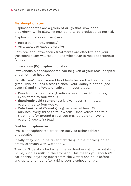#### **Bisphosphonates**

Bisphosphonates are a group of drugs that slow bone breakdown while allowing new bone to be produced as normal.

Bisphosphonates can be given:

- **•** Into a vein (intravenously)
- **•** As a tablet or capsule (orally)

Both oral and intravenous treatments are effective and your treatment team will recommend whichever is most appropriate for you.

#### **Intravenous (IV) bisphosphonates**

Intravenous bisphosphonates can be given at your local hospital or sometimes hospice.

Usually, you'll need some blood tests before the treatment is given. This includes a test to check your kidney function (see page 14) and the levels of calcium in your blood.

- **• Disodium pamidronate (Aredia)** is given over 90 minutes, every three to four weeks
- **• Ibandronic acid (Bondronat)** is given over 15 minutes, every three to four weeks
- **• Zoledronic acid (Zometa)** is given over at least 15 minutes, every three to four weeks. Once you've had this treatment for around a year you may be able to have it every 12 weeks instead

#### **Oral bisphosphonates**

Oral bisphosphonates are taken daily as either tablets or capsules.

Ideally, they should be taken first thing in the morning on an empty stomach with water only.

They can't be absorbed when there's food or calcium-containing liquid, such as milk, in the stomach. This means you shouldn't eat or drink anything (apart from the water) one hour before and up to one hour after taking your bisphosphonate.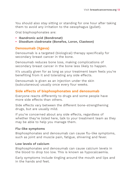You should also stay sitting or standing for one hour after taking them to avoid any irritation to the oesophagus (gullet).

Oral bisphosphonates are:

- **• Ibandronic acid (Bondronat)**
- **• Disodium clodronate (Bonefos, Loron, Clasteon)**

#### **Denosumab (Xgeva)**

Denosumab is a targeted (biological) therapy specifically for secondary breast cancer in the bone.

Denosumab reduces bone loss, making complications of secondary breast cancer in the bone less likely to happen.

It's usually given for as long as your treatment team feels you're benefiting from it and tolerating any side effects.

Denosumab is given as an injection under the skin (subcutaneous) usually once every four weeks.

#### **Side effects of bisphosphonates and denosumab**

Everyone reacts differently to drugs and some people have more side effects than others.

Side effects vary between the different bone-strengthening drugs, but are usually mild.

If you're concerned about any side effects, regardless of whether they're listed here, talk to your treatment team as they may be able to help you manage them.

#### **Flu-like symptoms**

Bisphosphonates and denosumab can cause flu-like symptoms, such as joint and muscle pain, fatigue, shivering and fever.

#### **Low levels of calcium**

Bisphosphonates and denosumab can cause calcium levels in the blood to drop too low. This is known as hypocalcaemia.

Early symptoms include tingling around the mouth and lips and in the hands and feet.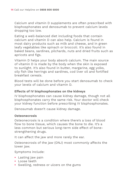Calcium and vitamin D supplements are often prescribed with bisphosphonates and denosumab to prevent calcium levels dropping too low.

Eating a well-balanced diet including foods that contain calcium and vitamin D can also help. Calcium is found in most dairy products such as milk and cheese, and in green leafy vegetables like spinach or broccoli. It's also found in baked beans, sardines, pilchards, nuts and dried fruits such as apricots and figs.

Vitamin D helps your body absorb calcium. The main source of vitamin D is made by the body when the skin is exposed to sunlight. It's also found in butter, margarine, egg yolks, oily fish like herrings and sardines, cod liver oil and fortified breakfast cereals.

Blood tests will be done before you start denosumab to check your levels of calcium and vitamin D.

#### **Effects of IV bisphosphonates on the kidneys**

IV bisphosphonates can cause kidney damage, though not all bisphosphonates carry the same risk. Your doctor will check your kidney function before prescribing IV bisphosphonates.

Denosumab doesn't cause kidney damage.

#### **Osteonecrosis**

Osteonecrosis is a condition where there's a loss of blood flow to bone tissue, which causes the bone to die. It's a less common but serious long-term side effect of bonestrengthening drugs.

It can affect the jaw and more rarely the ear.

Osteonecrosis of the jaw (ONJ) most commonly affects the lower jaw.

Symptoms include:

- **•** Lasting jaw pain
- **•** Loose teeth
- **•** Swelling, redness or ulcers on the gums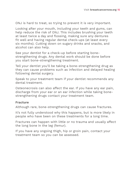ONJ is hard to treat, so trying to prevent it is very important.

Looking after your mouth, including your teeth and gums, can help reduce the risk of ONJ. This includes brushing your teeth at least twice a day and flossing, making sure any dentures fit well and having regular dental check-ups (at least every six months). Cutting down on sugary drinks and snacks, and alcohol can also help.

See your dentist for a check-up before starting bonestrengthening drugs. Any dental work should be done before you start bone-strengthening treatment.

Tell your dentist you'll be taking a bone-strengthening drug as they can cause problems such as infection and delayed healing following dental surgery.

Speak to your treatment team if your dentist recommends any dental treatment.

Osteonecrosis can also affect the ear. If you have any ear pain, discharge from your ear or an ear infection while taking bonestrengthening drugs contact your treatment team.

#### **Fracture**

Although rare, bone-strengthening drugs can cause fractures.

It's not fully understood why this happens, but is more likely in people who have been on these treatments for a long time.

Fractures can happen with little or no trauma and usually affect the long bone in the leg (femur).

If you have any ongoing thigh, hip or groin pain, contact your treatment team so you can be assessed.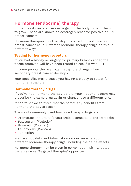# **Hormone (endocrine) therapy**

Some breast cancers use oestrogen in the body to help them to grow. These are known as oestrogen receptor positive or ER+ breast cancers.

Hormone therapies block or stop the effect of oestrogen on breast cancer cells. Different hormone therapy drugs do this in different ways.

#### **Testing for hormone receptors**

If you had a biopsy or surgery for primary breast cancer, the tissue removed will have been tested to see if it was ER+.

In some people the oestrogen receptors change when secondary breast cancer develops.

Your specialist may discuss you having a biopsy to retest for hormone receptors.

#### **Hormone therapy drugs**

If you've had hormone therapy before, your treatment team may prescribe the same drug again or change it to a different one.

It can take two to three months before any benefits from hormone therapy are seen.

The most commonly used hormone therapy drugs are:

- **•** Aromatase inhibitors (anastrozole, exemestane and letrozole)
- **•** Fulvestrant (Faslodex)
- **•** Goserelin (Zoladex)
- **•** Leuprorelin (Prostap)
- **•** Tamoxifen

We have booklets and information on our website about different hormone therapy drugs, including their side effects.

Hormone therapy may be given in combination with targeted therapies (see 'Targeted therapies' opposite).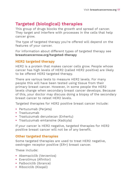# **Targeted (biological) therapies**

This group of drugs blocks the growth and spread of cancer. They target and interfere with processes in the cells that help cancer grow.

The type of targeted therapy you're offered will depend on the features of your cancer.

For information about different types of targeted therapy see **breastcancernow.org/targeted-therapy**

#### **HER2 targeted therapy**

HER2 is a protein that makes cancer cells grow. People whose cancer has high levels of HER2 (called HER2 positive) are likely to be offered HER2 targeted therapy.

There are various tests to measure HER2 levels. For many people this will have been tested using tissue from their primary breast cancer. However, in some people the HER2 levels change when secondary breast cancer develops. Because of this, your doctor may discuss doing a biopsy of the secondary breast cancer to retest HER2 levels.

Targeted therapies for HER2 positive breast cancer include:

- **•** Pertuzumab (Perjeta)
- **•** Trastuzumab
- **•** Trastuzumab deruxtecan (Enhertu)
- **•** Trastuzumab emtansine (Kadcyla)

If your cancer is HER2 negative, targeted therapies for HER2 positive breast cancer will not be of any benefit.

#### **Other targeted therapies**

Some targeted therapies are used to treat HER2 negative, oestrogen receptor positive (ER+) breast cancer.

These include:

- **•** Abemaciclib (Verzenios)
- **•** Everolimus (Afinitor)
- **•** Palbociclib (Ibrance)
- **•** Ribociclib (Kisqali)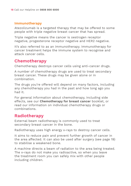#### **Immunotherapy**

Atezolizumab is a targeted therapy that may be offered to some people with triple negative breast cancer that has spread.

Triple negative means the cancer is oestrogen receptor negative, progesterone receptor negative and HER2 negative.

It's also referred to as an immunotherapy. Immunotherapy for cancer treatment helps the immune system to recognise and attack cancer cells.

# **Chemotherapy**

Chemotherapy destroys cancer cells using anti-cancer drugs.

A number of chemotherapy drugs are used to treat secondary breast cancer. These drugs may be given alone or in combination.

The drugs you're offered will depend on many factors, including any chemotherapy you had in the past and how long ago you had it.

For general information about chemotherapy, including side effects, see our **Chemotherapy for breast cancer** booklet, or read our information on individual chemotherapy drugs or combinations.

# **Radiotherapy**

External beam radiotherapy is commonly used to treat secondary breast cancer in the bone.

Radiotherapy uses high energy x-rays to destroy cancer cells.

It aims to reduce pain and prevent further growth of cancer in the area affected. It can also be used after surgery (see page 19) to stabilise a weakened bone.

A machine directs a beam of radiation to the area being treated. The x-rays do not make you radioactive, so when you leave the treatment room you can safely mix with other people including children.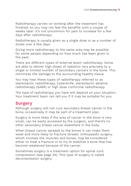Radiotherapy carries on working after the treatment has finished, so you may not feel the benefits until a couple of weeks later. It's not uncommon for pain to increase for a few days after radiotherapy.

Radiotherapy is usually given as a single dose or as a number of doses over a few days.

Giving more radiotherapy to the same area may be possible for some people depending on how much has been given in the past.

There are different types of external beam radiotherapy. Some are able to deliver high doses of radiation very precisely to a single or limited number of secondary cancers in the bone. This minimises the damage to the surrounding healthy tissue.

You may hear these types of radiotherapy referred to as stereotactic radiotherapy, CyberKnife, stereotactic ablative radiotherapy (SABR) or high dose conformal radiotherapy.

The type of radiotherapy you have will depend on your situation. Your treatment team can tell you if it may be suitable for you.

### **Surgery**

Although surgery will not cure secondary breast cancer in the bone, occasionally it may be part of a treatment plan.

Surgery is more likely if the area of cancer in the bone is very small, can be easily accessed by the surgeon, and there's no other secondary breast cancer elsewhere in the body.

When breast cancer spreads to the bones it can make them weak and more likely to fracture (break). Orthopaedic surgery, which involves the muscles and bones, may be considered either to treat a fracture or to try to stabilise a bone that has become weakened because of the cancer.

Sometimes surgery is a treatment option for spinal cord compression (see page 24). This type of surgery is called decompression surgery.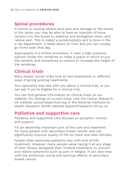# **Spinal procedures**

If cancer is causing severe back pain and damage to the bones in the spine, you may be able to have an injection of bone cement into the bones to stabilise and strengthen them, and relieve pain. This is called a vertebroplasty and is done in the x-ray department. It takes about an hour and you can usually go home later that day.

Kyphoplasty is a similar procedure. It uses a high-pressure balloon inside the vertebrae to make a space in which to put the cement, and sometimes to restore or increase the height of the vertebrae.

# **Clinical trials**

Many breast cancer trials look at new treatments or different ways of giving existing treatments.

Your specialist may talk with you about a clinical trial, or you can ask if you're eligible for a clinical trial.

You can find general information on clinical trials on our website. For listings of current trials, visit the Cancer Research UK website cancerresearchuk.org or the National Institute for Health Research (NIHR) website bepartofresearch.nihr.ac.uk

### **Palliative and supportive care**

Palliative and supportive care focuses on symptom control and support.

It's an extremely important part of the care and treatment for many people with secondary breast cancer, and can significantly improve quality of life for them and their families.

People often associate palliative care with end-of-life treatment. However, many people value having it at any stage of their illness, alongside their medical treatment, to prevent and relieve symptoms such as pain or fatigue. It can also help with the emotional, social and spiritual effects of secondary breast cancer.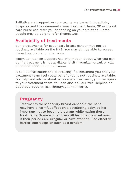Palliative and supportive care teams are based in hospitals, hospices and the community. Your treatment team, GP or breast care nurse can refer you depending on your situation. Some people may be able to refer themselves.

# **Availability of treatments**

Some treatments for secondary breast cancer may not be routinely available on the NHS. You may still be able to access these treatments in other ways.

Macmillan Cancer Support has information about what you can do if a treatment is not available. Visit macmillan.org.uk or call 0808 808 0000 to find out more.

It can be frustrating and distressing if a treatment you and your treatment team feel could benefit you is not routinely available. For help and advice about accessing a treatment, you can speak to your treatment team. You can also call our free Helpline on **0808 800 6000** to talk through your concerns.

### **Pregnancy**

Treatments for secondary breast cancer in the bone may have a harmful effect on a developing baby, so it's important not to become pregnant while having these treatments. Some women can still become pregnant even if their periods are irregular or have stopped. Use effective barrier contraception such as a condom.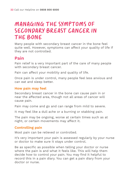# MANAGING THE SYMPTOMS OF SECONDARY BREAST CANCER IN THE BONE

Many people with secondary breast cancer in the bone feel quite well. However, symptoms can affect your quality of life if they are not controlled.

# **Pain**

Pain relief is a very important part of the care of many people with secondary breast cancer.

Pain can affect your mobility and quality of life.

Once pain is under control, many people feel less anxious and can eat and sleep better.

#### **How pain may feel**

Secondary breast cancer in the bone can cause pain in or near the affected area, though not all areas of cancer will cause pain.

Pain may come and go and can range from mild to severe.

It may feel like a dull ache or a burning or stabbing pain.

The pain may be ongoing, worse at certain times such as at night, or certain movements may affect it.

#### **Controlling pain**

Most pain can be relieved or controlled.

It's very important your pain is assessed regularly by your nurse or doctor to make sure it stays under control.

Be as specific as possible when telling your doctor or nurse where the pain is and what it feels like. This will help them decide how to control your pain. You may find it helpful to record this in a pain diary. You can get a pain diary from your doctor or nurse.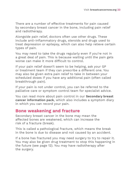There are a number of effective treatments for pain caused by secondary breast cancer in the bone, including pain relief and radiotherapy.

Alongside pain relief, doctors often use other drugs. These include anti-inflammatory drugs, steroids and drugs used to treat depression or epilepsy, which can also help relieve certain types of pain.

You may need to take the drugs regularly even if you're not in a great deal of pain. This is because waiting until the pain gets worse can make it more difficult to control.

If your pain relief doesn't seem to be helping, ask your GP or treatment team if they can prescribe a different one. You may also be given extra pain relief to take in between your scheduled doses if you have any additional pain (often called breakthrough pain).

If your pain is not under control, you can be referred to the palliative care or symptom control team for specialist advice.

You can read more about pain control in our **Secondary breast cancer information pack**, which also includes a symptom diary in which you can record your pain.

# **Bone weakening and fracture**

Secondary breast cancer in the bone may mean the affected bones are weakened, which can increase the risk of a fracture (break).

This is called a pathological fracture, which means the break in the bone is due to disease and not caused by an accident.

If a bone has fractured you may need surgery to try to repair it. You may also be given drug treatment to stop this happening in the future (see page 12). You may have radiotherapy after the surgery.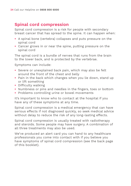# **Spinal cord compression**

Spinal cord compression is a risk for people with secondary breast cancer that has spread to the spine. It can happen when:

- **•** A spinal bone (vertebra) collapses and puts pressure on the spinal cord
- **•** Cancer grows in or near the spine, putting pressure on the spinal cord

The spinal cord is a bundle of nerves that runs from the brain to the lower back, and is protected by the vertebrae.

Symptoms can include:

- **•** Severe or unexplained back pain, which may also be felt around the front of the chest and belly
- **•** Pain in the back which changes when you lie down, stand up or lift something
- **•** Difficulty walking
- **•** Numbness or pins and needles in the fingers, toes or bottom
- **•** Problems controlling urine or bowel movements

It's important to know who to contact at the hospital if you have any of these symptoms at any time.

Spinal cord compression is a medical emergency that can have serious effects if not diagnosed quickly, so seek medical advice without delay to reduce the risk of any long-lasting effects.

Spinal cord compression is usually treated with radiotherapy and steroids. Some people may have surgery. A combination of all three treatments may also be used.

We've produced an alert card you can hand to any healthcare professionals you come into contact with if you believe you have symptoms of spinal cord compression (see the back page of this booklet).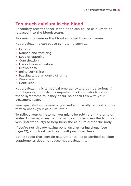# **Too much calcium in the blood**

Secondary breast cancer in the bone can cause calcium to be released into the bloodstream.

Too much calcium in the blood is called hypercalcaemia.

Hypercalcaemia can cause symptoms such as:

- **•** Fatigue
- **•** Nausea and vomiting
- **•** Loss of appetite
- **•** Constipation
- **•** Loss of concentration
- **•** Drowsiness
- **•** Being very thirsty
- **•** Passing large amounts of urine
- **•** Weakness
- **•** Confusion

Hypercalcaemia is a medical emergency and can be serious if not diagnosed quickly. It's important to know who to report these symptoms to if they occur, so check this with your treatment team.

Your specialist will examine you and will usually request a blood test to check your calcium levels.

To relieve your symptoms, you might be told to drink plenty of water. However, many people will need to be given fluids into a vein (intravenously) to help flush the calcium out of the body.

If you're not already having bone-strengthening drugs (see page 12), your treatment team will prescribe these.

Eating foods that contain calcium or taking prescribed calcium supplements does not cause hypercalcaemia.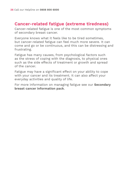### **Cancer-related fatigue (extreme tiredness)**

Cancer-related fatigue is one of the most common symptoms of secondary breast cancer.

Everyone knows what it feels like to be tired sometimes, but cancer-related fatigue can feel much more severe. It can come and go or be continuous, and this can be distressing and frustrating.

Fatigue has many causes, from psychological factors such as the stress of coping with the diagnosis, to physical ones such as the side effects of treatment or growth and spread of the cancer.

Fatigue may have a significant effect on your ability to cope with your cancer and its treatment. It can also affect your everyday activities and quality of life.

For more information on managing fatigue see our **Secondary breast cancer information pack**.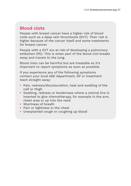# **Blood clots**

People with breast cancer have a higher risk of blood clots such as a deep vein thrombosis (DVT). Their risk is higher because of the cancer itself and some treatments for breast cancer.

People with a DVT are at risk of developing a pulmonary embolism (PE). This is when part of the blood clot breaks away and travels to the lung.

Blood clots can be harmful but are treatable so it's important to report symptoms as soon as possible.

If you experience any of the following symptoms contact your local A&E department, GP or treatment team straight away:

- **•** Pain, redness/discolouration, heat and swelling of the calf or thigh
- **•** Swelling, redness or tenderness where a central line is inserted to give chemotherapy, for example in the arm, chest area or up into the neck
- **•** Shortness of breath
- **•** Pain or tightness in the chest
- **•** Unexplained cough or coughing up blood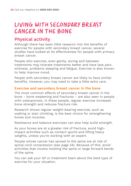# LIVING WITH SECONDARY BREAST CANCER IN THE BONE

# **Physical activity**

Although there has been little research into the benefits of exercise for people with secondary breast cancer, several studies have looked at its effectiveness for people with primary breast cancer.

People who exercise, even gently, during and between treatments may tolerate treatments better and have less pain, sickness, problems sleeping and fatigue. Exercise is also known to help improve mood.

People with secondary breast cancer are likely to have similar benefits. However, you may need to take a little extra care.

#### **Exercise and secondary breast cancer in the bone**

The most common effects of secondary breast cancer in the bone – bone weakening and fractures – are also seen in people with osteoporosis. In these people, regular exercise increases bone strength and reduces fracture risk.

Research shows regular weight-bearing exercise, such as walking or stair climbing, is the best choice for strengthening bones and muscles.

Resistance and balance exercises can also help build strength.

As your bones are at a greater risk of fracture, avoid highimpact activities such as contact sports and lifting heavy weights, unless you're working with an expert.

People whose cancer has spread to the spine are at risk of spinal cord compression (see page 24). Because of this, avoid activities that involve twisting the spine or large forward bends of the spine.

You can ask your GP or treatment team about the best type of exercise for your situation.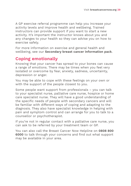A GP exercise referral programme can help you increase your activity levels and improve health and wellbeing. Trained instructors can provide support if you want to start a new activity. It's important the instructor knows about you and any changes to your health so they can advise you on how to exercise safely.

For more information on exercise and general health and wellbeing, see our **Secondary breast cancer information pack**.

# **Coping emotionally**

Knowing that your cancer has spread to your bones can cause a range of emotions. There may be times when you feel very isolated or overcome by fear, anxiety, sadness, uncertainty, depression or anger.

You may be able to cope with these feelings on your own or with the support of the people closest to you.

Some people want support from professionals – you can talk to your specialist nurse, palliative care nurse, hospice or home care specialist nurse. They will have a good understanding of the specific needs of people with secondary cancers and will be familiar with different ways of coping and adapting to the diagnosis. They also have specialist knowledge in helping with pain and symptom control and can arrange for you to talk to a counsellor or psychotherapist.

If you're not in regular contact with a palliative care nurse, you can ask to be referred by your treatment team or GP.

You can also call the Breast Cancer Now Helpline on **0808 800 6000** to talk through your concerns and find out what support may be available in your area.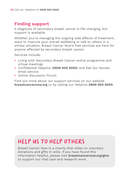# **Finding support**

A diagnosis of secondary breast cancer is life changing, but support is available.

Whether you're managing the ongoing side effects of treatment, want to improve your overall wellbeing or talk to others in a similar situation, Breast Cancer Now's free services are here for anyone affected by secondary breast cancer.

Services include:

- **•** Living with Secondary Breast Cancer online programme and virtual meetings
- **•** Confidential Helpline (**0808 800 6000**) and Ask Our Nurses email service
- **•** Online discussion Forum

Find out more about our support services on our website **breastcancernow.org** or by calling our Helpline **0808 800 6000**.

# HELP US TO HELP OTHERS

Breast Cancer Now is a charity that relies on voluntary donations and gifts in wills. If you have found this information helpful, please visit **breastcancernow.org/give**  to support our vital care and research work.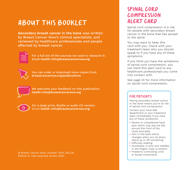# ABOUT THIS BOOKLET

**Secondary breast cancer in the bone** was written by Breast Cancer Now's clinical specialists, and reviewed by healthcare professionals and people affected by breast cancer.



For a full list of the sources we used to research it: Email **health-info@breastcancernow.org**



You can order or download more copies from **breastcancernow.org/publications**

We welcome your feedback on this publication: **health-info@breastcancernow.org**



For a large print, Braille or audio CD version: Email **health-info@breastcancernow.org**

© Breast Cancer Now, October 2021, BCC30 Edition 6, next planned review 2023

# SPINAL CORD COMPRESSION ALERT CARD

Spinal cord compression is a risk for people with secondary breast cancer in the bone that has spread to the spine.

You may want to keep this card with you. Check with your treatment team who you should speak to if you have any of these symptoms.

If you think you have the symptoms of spinal cord compression, you can hand this alert card to any healthcare professionals you come into contact with.

See page 24 for more information on spinal cord compression.

#### For patients

Having secondary breast cancer in the bone means you're at risk of spinal cord compression.

Contact your local A&E department or your treatment team immediately if you have any of these symptoms:

- **•** Severe or unexplained back pain which may also be felt around the front of the chest and belly
- **•** Pain in the back which changes when you lie down, stand up or lift something
- **•** Difficulty walking
- **•** Numbness or pins and needles in the fingers, toes or bottom
- **•** Problems controlling urine or bowel movements